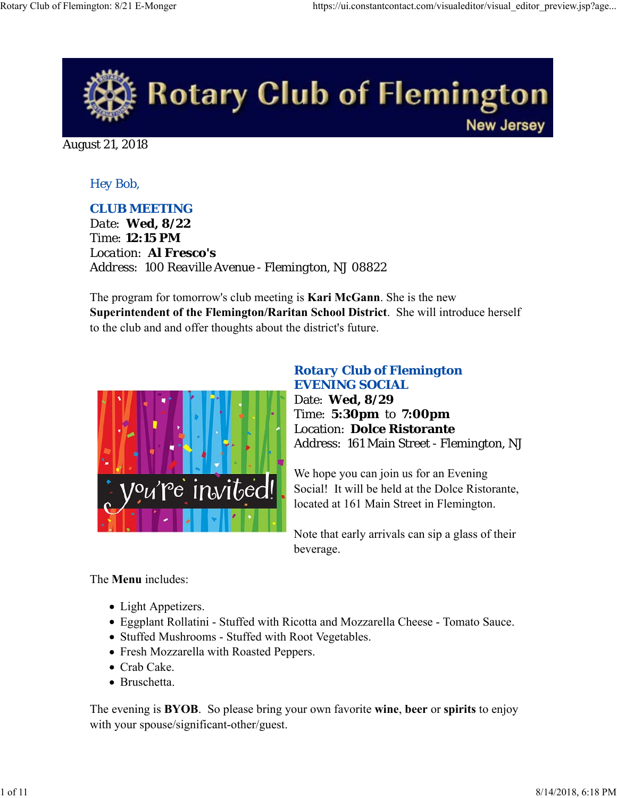

August 21, 2018

### *Hey Bob,*

### *CLUB MEETING*

*Date: Wed, 8/22 Time: 12:15 PM Location: Al Fresco's Address: 100 Reaville Avenue - Flemington, NJ 08822*

The program for tomorrow's club meeting is **Kari McGann**. She is the new **Superintendent of the Flemington/Raritan School District**. She will introduce herself to the club and and offer thoughts about the district's future.



### *Rotary Club of Flemington EVENING SOCIAL*

Date: **Wed, 8/29** Time: **5:30pm** to **7:00pm** Location: **Dolce Ristorante** Address: 161 Main Street - Flemington, NJ

We hope you can join us for an Evening Social! It will be held at the Dolce Ristorante, located at 161 Main Street in Flemington.

Note that early arrivals can sip a glass of their beverage.

The **Menu** includes:

- Light Appetizers.
- Eggplant Rollatini Stuffed with Ricotta and Mozzarella Cheese Tomato Sauce.
- Stuffed Mushrooms Stuffed with Root Vegetables.
- Fresh Mozzarella with Roasted Peppers.
- Crab Cake.
- Bruschetta.

The evening is **BYOB**. So please bring your own favorite **wine**, **beer** or **spirits** to enjoy with your spouse/significant-other/guest.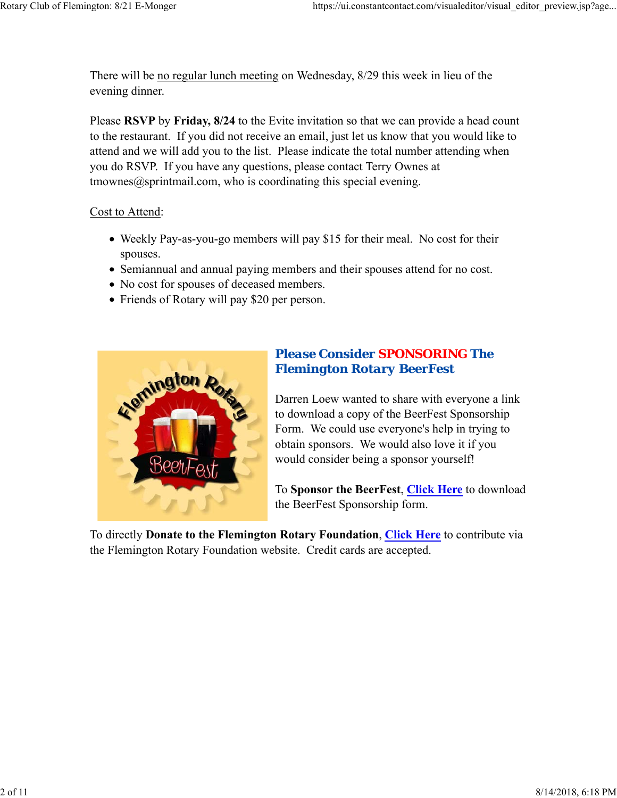There will be no regular lunch meeting on Wednesday, 8/29 this week in lieu of the evening dinner.

Please **RSVP** by **Friday, 8/24** to the Evite invitation so that we can provide a head count to the restaurant. If you did not receive an email, just let us know that you would like to attend and we will add you to the list. Please indicate the total number attending when you do RSVP. If you have any questions, please contact Terry Ownes at  $t$ mownes $@$ sprintmail.com, who is coordinating this special evening.

#### Cost to Attend:

- Weekly Pay-as-you-go members will pay \$15 for their meal. No cost for their spouses.
- Semiannual and annual paying members and their spouses attend for no cost.
- No cost for spouses of deceased members.
- Friends of Rotary will pay \$20 per person.



### *Please Consider SPONSORING The Flemington Rotary BeerFest*

Darren Loew wanted to share with everyone a link to download a copy of the BeerFest Sponsorship Form. We could use everyone's help in trying to obtain sponsors. We would also love it if you would consider being a sponsor yourself!

To **Sponsor the BeerFest**, **Click Here** to download the BeerFest Sponsorship form.

To directly **Donate to the Flemington Rotary Foundation**, **Click Here** to contribute via the Flemington Rotary Foundation website. Credit cards are accepted.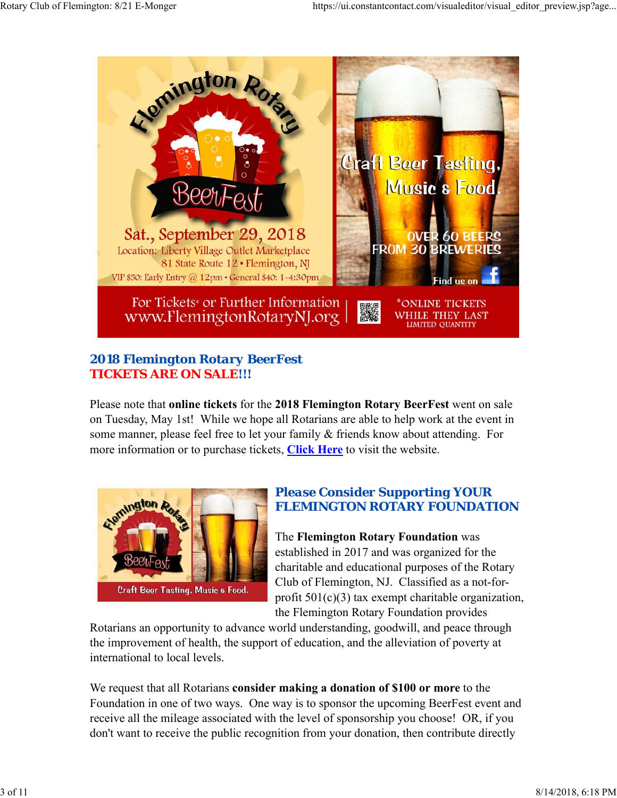

## *2018 Flemington Rotary BeerFest TICKETS ARE ON SALE!!!*

Please note that **online tickets** for the **2018 Flemington Rotary BeerFest** went on sale on Tuesday, May 1st! While we hope all Rotarians are able to help work at the event in some manner, please feel free to let your family & friends know about attending. For more information or to purchase tickets, **Click Here** to visit the website.



### *Please Consider Supporting YOUR FLEMINGTON ROTARY FOUNDATION*

The **Flemington Rotary Foundation** was established in 2017 and was organized for the charitable and educational purposes of the Rotary Club of Flemington, NJ. Classified as a not-forprofit  $501(c)(3)$  tax exempt charitable organization, the Flemington Rotary Foundation provides

Rotarians an opportunity to advance world understanding, goodwill, and peace through the improvement of health, the support of education, and the alleviation of poverty at international to local levels.

We request that all Rotarians **consider making a donation of \$100 or more** to the Foundation in one of two ways. One way is to sponsor the upcoming BeerFest event and receive all the mileage associated with the level of sponsorship you choose! OR, if you don't want to receive the public recognition from your donation, then contribute directly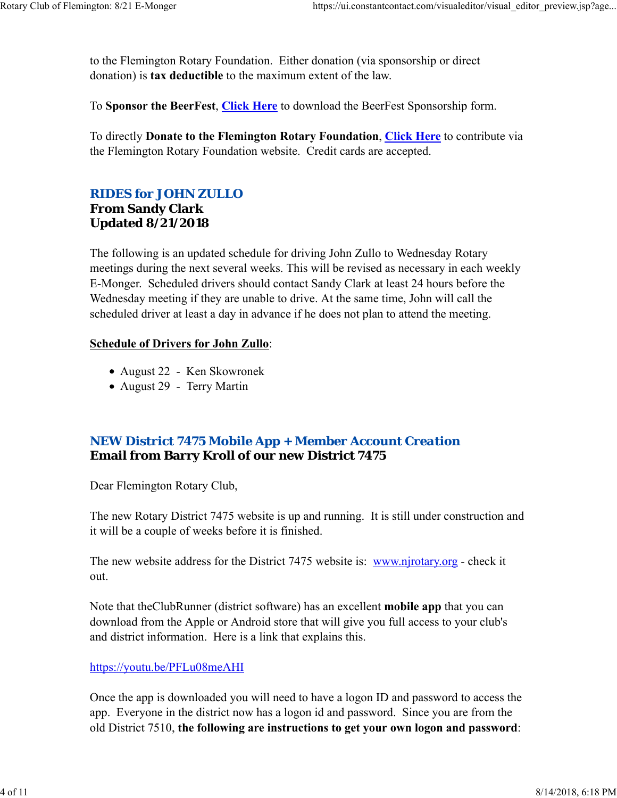to the Flemington Rotary Foundation. Either donation (via sponsorship or direct donation) is **tax deductible** to the maximum extent of the law.

To **Sponsor the BeerFest**, **Click Here** to download the BeerFest Sponsorship form.

To directly **Donate to the Flemington Rotary Foundation**, **Click Here** to contribute via the Flemington Rotary Foundation website. Credit cards are accepted.

### *RIDES for JOHN ZULLO* **From Sandy Clark Updated 8/21/2018**

The following is an updated schedule for driving John Zullo to Wednesday Rotary meetings during the next several weeks. This will be revised as necessary in each weekly E-Monger. Scheduled drivers should contact Sandy Clark at least 24 hours before the Wednesday meeting if they are unable to drive. At the same time, John will call the scheduled driver at least a day in advance if he does not plan to attend the meeting.

#### **Schedule of Drivers for John Zullo**:

- August 22 Ken Skowronek
- August 29 Terry Martin

### *NEW District 7475 Mobile App + Member Account Creation* **Email from Barry Kroll of our new District 7475**

Dear Flemington Rotary Club,

The new Rotary District 7475 website is up and running. It is still under construction and it will be a couple of weeks before it is finished.

The new website address for the District 7475 website is: www.njrotary.org - check it out.

Note that theClubRunner (district software) has an excellent **mobile app** that you can download from the Apple or Android store that will give you full access to your club's and district information. Here is a link that explains this.

### https://youtu.be/PFLu08meAHI

Once the app is downloaded you will need to have a logon ID and password to access the app. Everyone in the district now has a logon id and password. Since you are from the old District 7510, **the following are instructions to get your own logon and password**: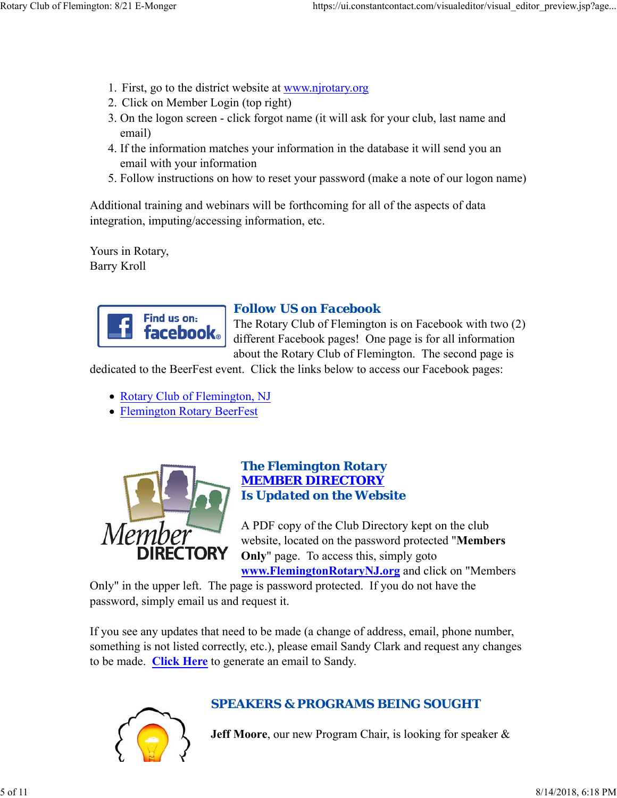- 1. First, go to the district website at www.njrotary.org
- 2. Click on Member Login (top right)
- 3. On the logon screen click forgot name (it will ask for your club, last name and email)
- 4. If the information matches your information in the database it will send you an email with your information
- 5. Follow instructions on how to reset your password (make a note of our logon name)

Additional training and webinars will be forthcoming for all of the aspects of data integration, imputing/accessing information, etc.

Yours in Rotary, Barry Kroll



# *Follow US on Facebook*

The Rotary Club of Flemington is on Facebook with two (2) different Facebook pages! One page is for all information about the Rotary Club of Flemington. The second page is

dedicated to the BeerFest event. Click the links below to access our Facebook pages:

- Rotary Club of Flemington, NJ
- Flemington Rotary BeerFest



#### *The Flemington Rotary MEMBER DIRECTORY Is Updated on the Website*

A PDF copy of the Club Directory kept on the club website, located on the password protected "**Members Only**" page. To access this, simply goto **www.FlemingtonRotaryNJ.org** and click on "Members

Only" in the upper left. The page is password protected. If you do not have the password, simply email us and request it.

If you see any updates that need to be made (a change of address, email, phone number, something is not listed correctly, etc.), please email Sandy Clark and request any changes to be made. **Click Here** to generate an email to Sandy.



### *SPEAKERS & PROGRAMS BEING SOUGHT*

**Jeff Moore**, our new Program Chair, is looking for speaker &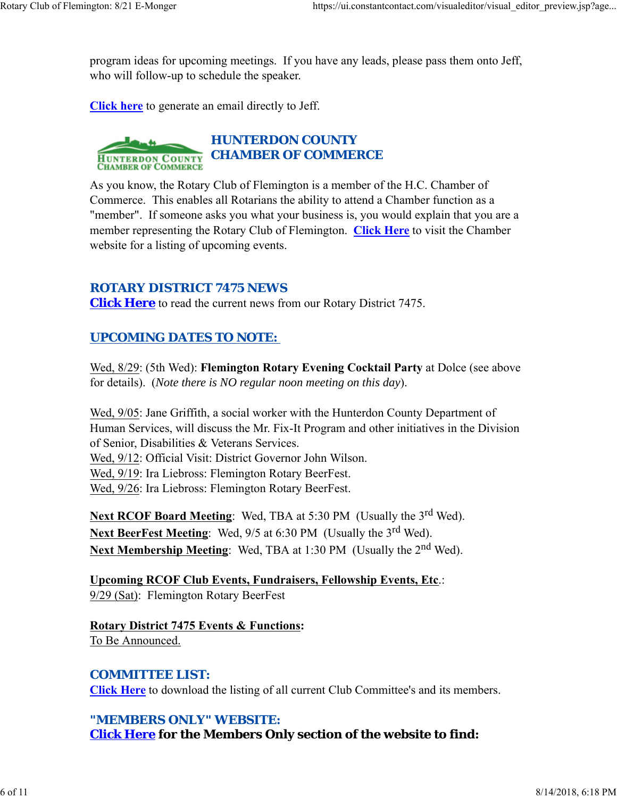program ideas for upcoming meetings. If you have any leads, please pass them onto Jeff, who will follow-up to schedule the speaker.

**Click here** to generate an email directly to Jeff.



As you know, the Rotary Club of Flemington is a member of the H.C. Chamber of Commerce. This enables all Rotarians the ability to attend a Chamber function as a "member". If someone asks you what your business is, you would explain that you are a member representing the Rotary Club of Flemington. **Click Here** to visit the Chamber website for a listing of upcoming events.

### *ROTARY DISTRICT 7475 NEWS*

**Click Here** to read the current news from our Rotary District 7475.

### *UPCOMING DATES TO NOTE:*

Wed, 8/29: (5th Wed): **Flemington Rotary Evening Cocktail Party** at Dolce (see above for details). (*Note there is NO regular noon meeting on this day*).

Wed, 9/05: Jane Griffith, a social worker with the Hunterdon County Department of Human Services, will discuss the Mr. Fix-It Program and other initiatives in the Division of Senior, Disabilities & Veterans Services.

Wed, 9/12: Official Visit: District Governor John Wilson.

Wed, 9/19: Ira Liebross: Flemington Rotary BeerFest.

Wed, 9/26: Ira Liebross: Flemington Rotary BeerFest.

Next RCOF Board Meeting: Wed, TBA at 5:30 PM (Usually the 3<sup>rd</sup> Wed). **Next BeerFest Meeting:** Wed, 9/5 at 6:30 PM (Usually the 3<sup>rd</sup> Wed). Next Membership Meeting: Wed, TBA at 1:30 PM (Usually the 2<sup>nd</sup> Wed).

**Upcoming RCOF Club Events, Fundraisers, Fellowship Events, Etc**.: 9/29 (Sat): Flemington Rotary BeerFest

**Rotary District 7475 Events & Functions:** To Be Announced.

### *COMMITTEE LIST:*

**Click Here** to download the listing of all current Club Committee's and its members.

### *"MEMBERS ONLY" WEBSITE:*

**Click Here for the Members Only section of the website to find:**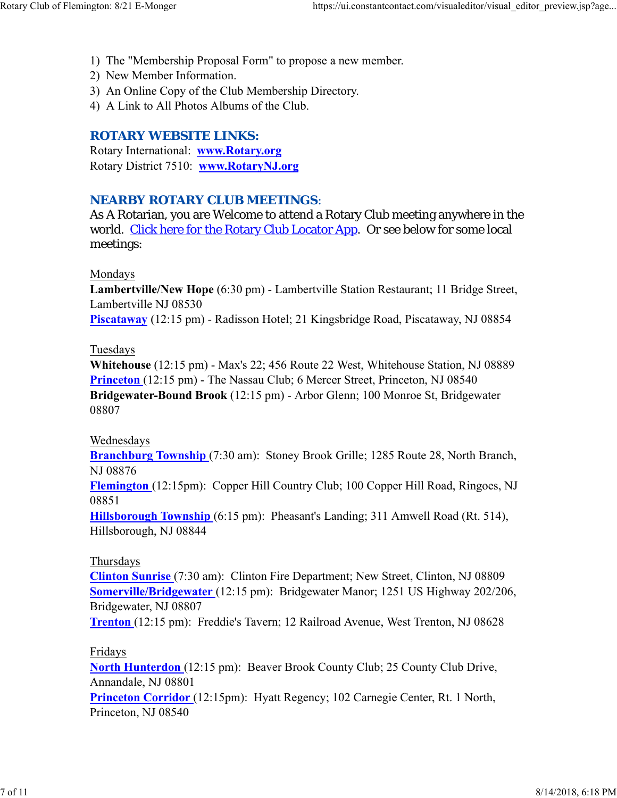- 1) The "Membership Proposal Form" to propose a new member.
- 2) New Member Information.
- 3) An Online Copy of the Club Membership Directory.
- 4) A Link to All Photos Albums of the Club.

### *ROTARY WEBSITE LINKS:*

Rotary International: **www.Rotary.org** Rotary District 7510: **www.RotaryNJ.org**

### *NEARBY ROTARY CLUB MEETINGS:*

As A Rotarian, you are Welcome to attend a Rotary Club meeting anywhere in the world. Click here for the Rotary Club Locator App. Or see below for some local meetings:

#### Mondays

**Lambertville/New Hope** (6:30 pm) - Lambertville Station Restaurant; 11 Bridge Street, Lambertville NJ 08530

**Piscataway** (12:15 pm) - Radisson Hotel; 21 Kingsbridge Road, Piscataway, NJ 08854

#### Tuesdays

**Whitehouse** (12:15 pm) - Max's 22; 456 Route 22 West, Whitehouse Station, NJ 08889 **Princeton** (12:15 pm) - The Nassau Club; 6 Mercer Street, Princeton, NJ 08540 **Bridgewater-Bound Brook** (12:15 pm) - Arbor Glenn; 100 Monroe St, Bridgewater 08807

### Wednesdays

**Branchburg Township** (7:30 am): Stoney Brook Grille; 1285 Route 28, North Branch, NJ 08876

**Flemington** (12:15pm): Copper Hill Country Club; 100 Copper Hill Road, Ringoes, NJ 08851

**Hillsborough Township** (6:15 pm): Pheasant's Landing; 311 Amwell Road (Rt. 514), Hillsborough, NJ 08844

### Thursdays

**Clinton Sunrise** (7:30 am): Clinton Fire Department; New Street, Clinton, NJ 08809 **Somerville/Bridgewater** (12:15 pm): Bridgewater Manor; 1251 US Highway 202/206, Bridgewater, NJ 08807

**Trenton** (12:15 pm): Freddie's Tavern; 12 Railroad Avenue, West Trenton, NJ 08628

### Fridays

**North Hunterdon** (12:15 pm): Beaver Brook County Club; 25 County Club Drive, Annandale, NJ 08801 **Princeton Corridor** (12:15pm): Hyatt Regency; 102 Carnegie Center, Rt. 1 North,

Princeton, NJ 08540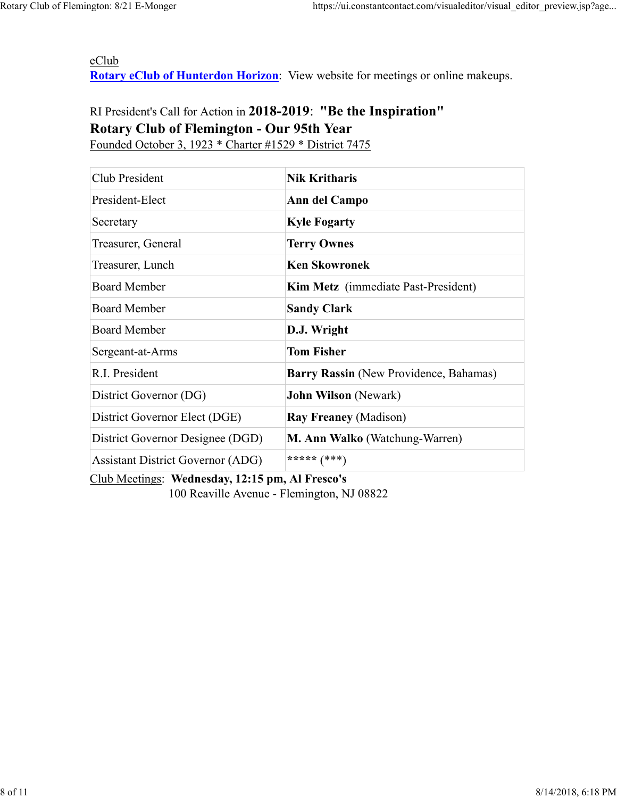eClub **Rotary eClub of Hunterdon Horizon**: View website for meetings or online makeups.

# RI President's Call for Action in **2018-2019**: **"Be the Inspiration" Rotary Club of Flemington - Our 95th Year** Founded October 3, 1923 \* Charter #1529 \* District 7475

| Club President                           | <b>Nik Kritharis</b>                   |
|------------------------------------------|----------------------------------------|
| President-Elect                          | Ann del Campo                          |
| Secretary                                | <b>Kyle Fogarty</b>                    |
| Treasurer, General                       | <b>Terry Ownes</b>                     |
| Treasurer, Lunch                         | <b>Ken Skowronek</b>                   |
| <b>Board Member</b>                      | Kim Metz (immediate Past-President)    |
| <b>Board Member</b>                      | <b>Sandy Clark</b>                     |
| <b>Board Member</b>                      | D.J. Wright                            |
| Sergeant-at-Arms                         | <b>Tom Fisher</b>                      |
| R.I. President                           | Barry Rassin (New Providence, Bahamas) |
| District Governor (DG)                   | <b>John Wilson</b> (Newark)            |
| District Governor Elect (DGE)            | <b>Ray Freaney (Madison)</b>           |
| District Governor Designee (DGD)         | M. Ann Walko (Watchung-Warren)         |
| <b>Assistant District Governor (ADG)</b> | ***** $(***)$                          |

Club Meetings: **Wednesday, 12:15 pm, Al Fresco's** 100 Reaville Avenue - Flemington, NJ 08822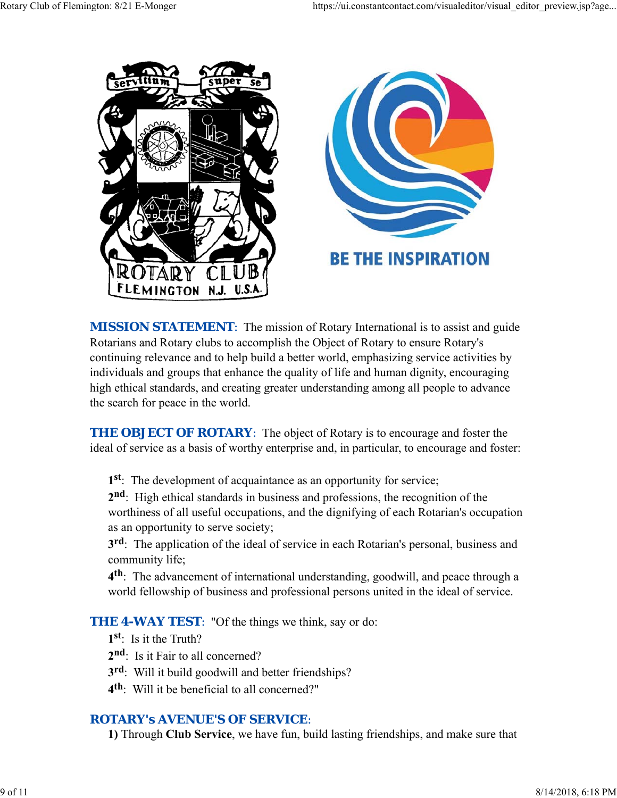

**MISSION STATEMENT:** The mission of Rotary International is to assist and guide Rotarians and Rotary clubs to accomplish the Object of Rotary to ensure Rotary's continuing relevance and to help build a better world, emphasizing service activities by individuals and groups that enhance the quality of life and human dignity, encouraging high ethical standards, and creating greater understanding among all people to advance the search for peace in the world.

**THE OBJECT OF ROTARY:** The object of Rotary is to encourage and foster the ideal of service as a basis of worthy enterprise and, in particular, to encourage and foster:

**1st**: The development of acquaintance as an opportunity for service;

**2nd**: High ethical standards in business and professions, the recognition of the worthiness of all useful occupations, and the dignifying of each Rotarian's occupation as an opportunity to serve society;

**3rd**: The application of the ideal of service in each Rotarian's personal, business and community life;

**4th**: The advancement of international understanding, goodwill, and peace through a world fellowship of business and professional persons united in the ideal of service.

**THE 4-WAY TEST:** "Of the things we think, say or do:

**1st**: Is it the Truth?

2<sup>nd</sup>: Is it Fair to all concerned?

**3rd**: Will it build goodwill and better friendships?

**4th**: Will it be beneficial to all concerned?"

### *ROTARY's AVENUE'S OF SERVICE*:

**1)** Through **Club Service**, we have fun, build lasting friendships, and make sure that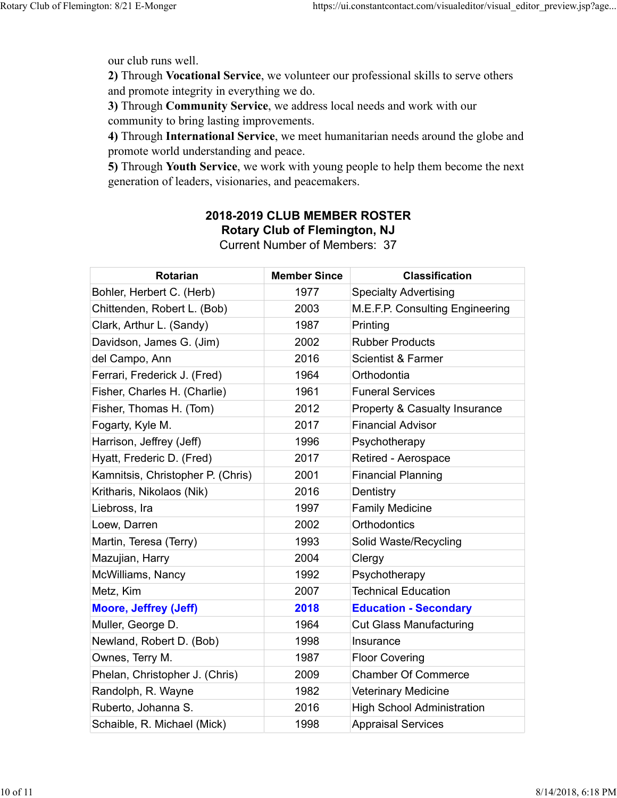our club runs well.

**2)** Through **Vocational Service**, we volunteer our professional skills to serve others and promote integrity in everything we do.

**3)** Through **Community Service**, we address local needs and work with our community to bring lasting improvements.

**4)** Through **International Service**, we meet humanitarian needs around the globe and promote world understanding and peace.

**5)** Through **Youth Service**, we work with young people to help them become the next generation of leaders, visionaries, and peacemakers.

# **2018-2019 CLUB MEMBER ROSTER Rotary Club of Flemington, NJ**

Current Number of Members: 37

| <b>Rotarian</b>                   | <b>Member Since</b> | <b>Classification</b>                    |
|-----------------------------------|---------------------|------------------------------------------|
| Bohler, Herbert C. (Herb)         | 1977                | <b>Specialty Advertising</b>             |
| Chittenden, Robert L. (Bob)       | 2003                | M.E.F.P. Consulting Engineering          |
| Clark, Arthur L. (Sandy)          | 1987                | Printing                                 |
| Davidson, James G. (Jim)          | 2002                | <b>Rubber Products</b>                   |
| del Campo, Ann                    | 2016                | <b>Scientist &amp; Farmer</b>            |
| Ferrari, Frederick J. (Fred)      | 1964                | Orthodontia                              |
| Fisher, Charles H. (Charlie)      | 1961                | <b>Funeral Services</b>                  |
| Fisher, Thomas H. (Tom)           | 2012                | <b>Property &amp; Casualty Insurance</b> |
| Fogarty, Kyle M.                  | 2017                | <b>Financial Advisor</b>                 |
| Harrison, Jeffrey (Jeff)          | 1996                | Psychotherapy                            |
| Hyatt, Frederic D. (Fred)         | 2017                | Retired - Aerospace                      |
| Kamnitsis, Christopher P. (Chris) | 2001                | <b>Financial Planning</b>                |
| Kritharis, Nikolaos (Nik)         | 2016                | Dentistry                                |
| Liebross, Ira                     | 1997                | <b>Family Medicine</b>                   |
| Loew, Darren                      | 2002                | <b>Orthodontics</b>                      |
| Martin, Teresa (Terry)            | 1993                | Solid Waste/Recycling                    |
| Mazujian, Harry                   | 2004                | Clergy                                   |
| McWilliams, Nancy                 | 1992                | Psychotherapy                            |
| Metz, Kim                         | 2007                | <b>Technical Education</b>               |
| <b>Moore, Jeffrey (Jeff)</b>      | 2018                | <b>Education - Secondary</b>             |
| Muller, George D.                 | 1964                | <b>Cut Glass Manufacturing</b>           |
| Newland, Robert D. (Bob)          | 1998                | Insurance                                |
| Ownes, Terry M.                   | 1987                | <b>Floor Covering</b>                    |
| Phelan, Christopher J. (Chris)    | 2009                | <b>Chamber Of Commerce</b>               |
| Randolph, R. Wayne                | 1982                | Veterinary Medicine                      |
| Ruberto, Johanna S.               | 2016                | <b>High School Administration</b>        |
| Schaible, R. Michael (Mick)       | 1998                | <b>Appraisal Services</b>                |